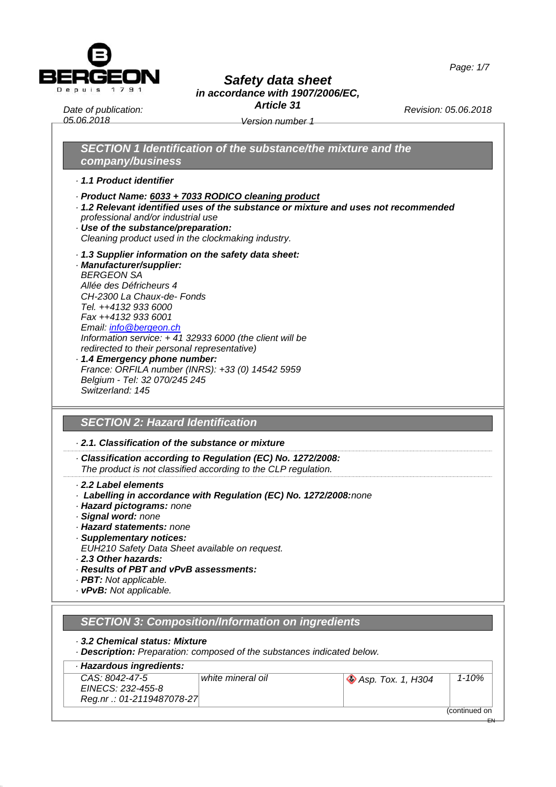



*Article 31*

*Date of publication: 05.06.2018*

*Version number 1*

*Revision: 05.06.2018*

 $\overline{\phantom{a}}$ 

EN

## *SECTION 1 Identification of the substance/the mixture and the company/business*

*· 1.1 Product identifier*

- *· Product Name: 6033 + 7033 RODICO cleaning product*
- *· 1.2 Relevant identified uses of the substance or mixture and uses not recommended professional and/or industrial use*
- *· Use of the substance/preparation: Cleaning product used in the clockmaking industry.*
- *· 1.3 Supplier information on the safety data sheet:*
- *· Manufacturer/supplier: BERGEON SA Allée des Défricheurs 4 CH-2300 La Chaux-de- Fonds Tel. ++4132 933 6000 Fax ++4132 933 6001 Email: [info@bergeon.ch](mailto:info@bergeon.ch) Information service: + 41 32933 6000 (the client will be redirected to their personal representative)*
- *· 1.4 Emergency phone number: France: ORFILA number (INRS): +33 (0) 14542 5959 Belgium - Tel: 32 070/245 245 Switzerland: 145*

## *SECTION 2: Hazard Identification*

- *· 2.1. Classification of the substance or mixture*
- *· Classification according to Regulation (EC) No. 1272/2008: The product is not classified according to the CLP regulation.*

#### *· 2.2 Label elements*

- *· Labelling in accordance with Regulation (EC) No. 1272/2008:none*
- *· Hazard pictograms: none*
- *· Signal word: none*
- *· Hazard statements: none*
- *· Supplementary notices:*
- *EUH210 Safety Data Sheet available on request.*
- *· 2.3 Other hazards:*
- *· Results of PBT and vPvB assessments:*
- *· PBT: Not applicable.*
- *· vPvB: Not applicable.*

| SECTION 3: Composition/Information on ingredients |  |
|---------------------------------------------------|--|
|                                                   |  |

- *· 3.2 Chemical status: Mixture*
- *· Description: Preparation: composed of the substances indicated below.*

| · Hazardous ingredients:                                          |                   |                                |               |
|-------------------------------------------------------------------|-------------------|--------------------------------|---------------|
| CAS: 8042-47-5<br>EINECS: 232-455-8<br>Reg.nr .: 01-2119487078-27 | white mineral oil | $\bigotimes$ Asp. Tox. 1, H304 | $1 - 10%$     |
|                                                                   |                   |                                | (continued on |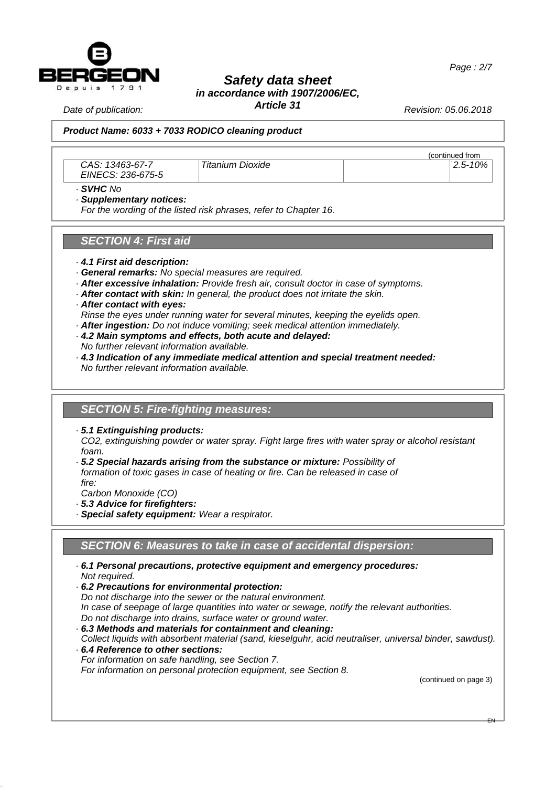

*Date of publication:* 

### *Safety data sheet in accordance with 1907/2006/EC,*

*Article 31*

*Revision: 05.06.2018*

#### *Version number 1 05.06.2018 Product Name: 6033 + 7033 RODICO cleaning product*

*CAS: 13463-67-7 EINECS: 236-675-5*

*Titanium Dioxide 2.5-10%*

 $\frac{\frac{1}{2} \cdot \frac{1}{2} \cdot \frac{1}{2}}{2.5 - 10\%}$ page 1)

*· SVHC No*

*· Supplementary notices:*

*For the wording of the listed risk phrases, refer to Chapter 16.*

#### *SECTION 4: First aid*

- *· 4.1 First aid description:*
- *· General remarks: No special measures are required.*
- *· After excessive inhalation: Provide fresh air, consult doctor in case of symptoms.*
- *· After contact with skin: In general, the product does not irritate the skin.*
- *· After contact with eyes:*

*Rinse the eyes under running water for several minutes, keeping the eyelids open.*

- *· After ingestion: Do not induce vomiting; seek medical attention immediately.*
- *· 4.2 Main symptoms and effects, both acute and delayed: No further relevant information available.*
- *· 4.3 Indication of any immediate medical attention and special treatment needed:*

*No further relevant information available.*

### *SECTION 5: Fire-fighting measures:*

*· 5.1 Extinguishing products:*

*CO2, extinguishing powder or water spray. Fight large fires with water spray or alcohol resistant foam.*

*· 5.2 Special hazards arising from the substance or mixture: Possibility of formation of toxic gases in case of heating or fire. Can be released in case of fire:*

*Carbon Monoxide (CO)*

*· 5.3 Advice for firefighters:*

*· Special safety equipment: Wear a respirator.*

## *SECTION 6: Measures to take in case of accidental dispersion:*

- *· 6.1 Personal precautions, protective equipment and emergency procedures: Not required.*
- *· 6.2 Precautions for environmental protection: Do not discharge into the sewer or the natural environment. In case of seepage of large quantities into water or sewage, notify the relevant authorities. Do not discharge into drains, surface water or ground water.*
- *· 6.3 Methods and materials for containment and cleaning:*
- *Collect liquids with absorbent material (sand, kieselguhr, acid neutraliser, universal binder, sawdust). · 6.4 Reference to other sections:*
- *For information on safe handling, see Section 7.*

*For information on personal protection equipment, see Section 8.*

(continued on page 3)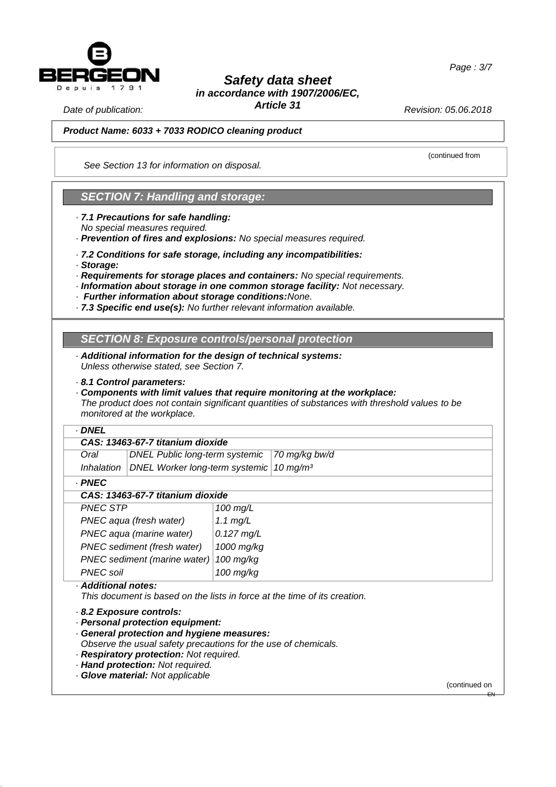

*Article 31*

*Revision: 05.06.2018*

(continued from

*Date of publication:* 

*Version number 1 05.06.2018 Product Name: 6033 + 7033 RODICO cleaning product*

*See Section 13 for information on disposal.*

## *SECTION 7: Handling and storage:*

- *· 7.1 Precautions for safe handling:*
- *No special measures required.*
- *· Prevention of fires and explosions: No special measures required.*
- *· 7.2 Conditions for safe storage, including any incompatibilities:*
- *· Storage:*
- *· Requirements for storage places and containers: No special requirements.*
- *· Information about storage in one common storage facility: Not necessary.*
- *· Further information about storage conditions:None.*
- *· 7.3 Specific end use(s): No further relevant information available.*

## *SECTION 8: Exposure controls/personal protection*

- *· Additional information for the design of technical systems: Unless otherwise stated, see Section 7.*
- *· 8.1 Control parameters:*
- *· Components with limit values that require monitoring at the workplace: The product does not contain significant quantities of substances with threshold values to be monitored at the workplace.*

#### *· DNEL*

| CAS: 13463-67-7 titanium dioxide |              |                                                                    |  |
|----------------------------------|--------------|--------------------------------------------------------------------|--|
|                                  | Oral         | DNEL Public long-term systemic 70 mg/kg bw/d                       |  |
|                                  |              | Inhalation   DNEL Worker long-term systemic   10 mg/m <sup>3</sup> |  |
|                                  | <b>DAICO</b> |                                                                    |  |

*· PNEC*

#### *CAS: 13463-67-7 titanium dioxide*

| <b>PNEC STP</b>                        | 100 $mg/L$   |
|----------------------------------------|--------------|
| PNEC aqua (fresh water)                | 1.1 $mg/L$   |
| PNEC aqua (marine water)               | $0.127$ mg/L |
| PNEC sediment (fresh water)            | 1000 mg/kg   |
| PNEC sediment (marine water) 100 mg/kg |              |
| PNEC soil                              | $100$ mg/kg  |
| - - -- -                               |              |

#### *· Additional notes:*

*This document is based on the lists in force at the time of its creation.*

#### *· 8.2 Exposure controls:*

*· Personal protection equipment:*

*· General protection and hygiene measures:*

*Observe the usual safety precautions for the use of chemicals.*

- *· Respiratory protection: Not required.*
- *· Hand protection: Not required.*
- *· Glove material: Not applicable*

(continued on

EN

 $\overline{\phantom{a}}$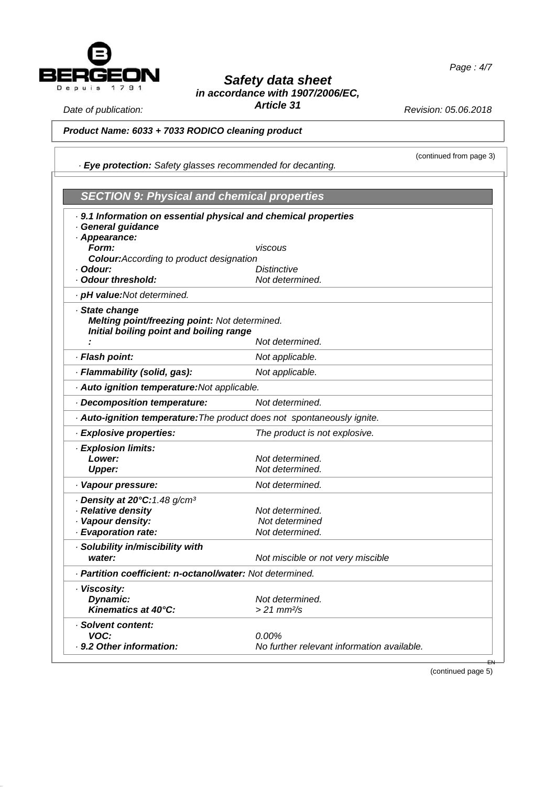

*Article 31*

*Revision: 05.06.2018*

(continued from page 3)

## *Date of publication:*

*05.06.2018*

#### *Version number 1 Product Name: 6033 + 7033 RODICO cleaning product*

*· Eye protection: Safety glasses recommended for decanting.*

| <b>SECTION 9: Physical and chemical properties</b>                                                         |                                            |  |
|------------------------------------------------------------------------------------------------------------|--------------------------------------------|--|
| . 9.1 Information on essential physical and chemical properties                                            |                                            |  |
| · General guidance                                                                                         |                                            |  |
| · Appearance:                                                                                              |                                            |  |
| Form:                                                                                                      | viscous                                    |  |
| <b>Colour:</b> According to product designation                                                            |                                            |  |
| · Odour:<br>Odour threshold:                                                                               | Distinctive<br>Not determined.             |  |
| · pH value:Not determined.                                                                                 |                                            |  |
|                                                                                                            |                                            |  |
| · State change<br>Melting point/freezing point: Not determined.<br>Initial boiling point and boiling range |                                            |  |
|                                                                                                            | Not determined.                            |  |
| · Flash point:                                                                                             | Not applicable.                            |  |
| · Flammability (solid, gas):                                                                               | Not applicable.                            |  |
| · Auto ignition temperature: Not applicable.                                                               |                                            |  |
| Decomposition temperature:                                                                                 | Not determined.                            |  |
| · Auto-ignition temperature: The product does not spontaneously ignite.                                    |                                            |  |
| · Explosive properties:                                                                                    | The product is not explosive.              |  |
| · Explosion limits:                                                                                        |                                            |  |
| Lower:                                                                                                     | Not determined.                            |  |
| <b>Upper:</b>                                                                                              | Not determined.                            |  |
| · Vapour pressure:                                                                                         | Not determined.                            |  |
| $\cdot$ Density at 20°C: 1.48 g/cm <sup>3</sup>                                                            |                                            |  |
| · Relative density                                                                                         | Not determined.                            |  |
| · Vapour density:                                                                                          | Not determined                             |  |
| · Evaporation rate:                                                                                        | Not determined.                            |  |
| · Solubility in/miscibility with                                                                           |                                            |  |
| water:                                                                                                     | Not miscible or not very miscible          |  |
| · Partition coefficient: n-octanol/water: Not determined.                                                  |                                            |  |
| · Viscosity:                                                                                               |                                            |  |
| Dynamic:                                                                                                   | Not determined.                            |  |
| Kinematics at 40°C:                                                                                        | $> 21$ mm $\frac{2}{s}$                    |  |
| · Solvent content:                                                                                         |                                            |  |
| VOC:                                                                                                       | $0.00\%$                                   |  |
| . 9.2 Other information:                                                                                   | No further relevant information available. |  |

(continued page 5)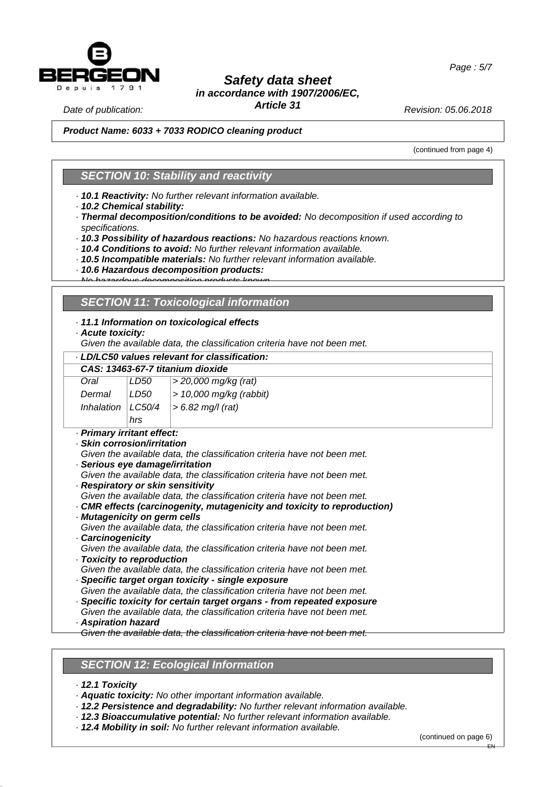

*Article 31*

*Revision: 05.06.2018*

*Page : 5/7*

*Date of publication:* 

*Version number 1 05.06.2018 Product Name: 6033 + 7033 RODICO cleaning product*

(continued from page 4)

### *SECTION 10: Stability and reactivity*

*· 10.1 Reactivity: No further relevant information available.*

*· 10.2 Chemical stability:*

*· Thermal decomposition/conditions to be avoided: No decomposition if used according to specifications.*

*· 10.3 Possibility of hazardous reactions: No hazardous reactions known.*

*· 10.4 Conditions to avoid: No further relevant information available.*

*· 10.5 Incompatible materials: No further relevant information available.*

*· 10.6 Hazardous decomposition products:*

#### *No hazardous decomposition products known.*

#### *SECTION 11: Toxicological information*

#### *· 11.1 Information on toxicological effects*

*· Acute toxicity:*

*Given the available data, the classification criteria have not been met.*

## *· LD/LC50 values relevant for classification:*

|                                                                                                                                                                                                                                            |        | CAS: 13463-67-7 titanium dioxide                                                                                                                                                                                                                                                                                                                                                                                                                                                                                                                                                                                                                                                                                                                                                                                                                                                                                   |
|--------------------------------------------------------------------------------------------------------------------------------------------------------------------------------------------------------------------------------------------|--------|--------------------------------------------------------------------------------------------------------------------------------------------------------------------------------------------------------------------------------------------------------------------------------------------------------------------------------------------------------------------------------------------------------------------------------------------------------------------------------------------------------------------------------------------------------------------------------------------------------------------------------------------------------------------------------------------------------------------------------------------------------------------------------------------------------------------------------------------------------------------------------------------------------------------|
| Oral                                                                                                                                                                                                                                       | LD50   | > 20,000 mg/kg (rat)                                                                                                                                                                                                                                                                                                                                                                                                                                                                                                                                                                                                                                                                                                                                                                                                                                                                                               |
| Dermal                                                                                                                                                                                                                                     | LD50   | $> 10,000$ mg/kg (rabbit)                                                                                                                                                                                                                                                                                                                                                                                                                                                                                                                                                                                                                                                                                                                                                                                                                                                                                          |
| Inhalation                                                                                                                                                                                                                                 | LC50/4 | $> 6.82$ mg/l (rat)                                                                                                                                                                                                                                                                                                                                                                                                                                                                                                                                                                                                                                                                                                                                                                                                                                                                                                |
|                                                                                                                                                                                                                                            | hrs    |                                                                                                                                                                                                                                                                                                                                                                                                                                                                                                                                                                                                                                                                                                                                                                                                                                                                                                                    |
| · Primary irritant effect:<br>· Skin corrosion/irritation<br>· Serious eye damage/irritation<br>· Respiratory or skin sensitivity<br>Mutagenicity on germ cells<br>Carcinogenicity<br>Toxicity to reproduction<br><b>Aspiration hazard</b> |        | Given the available data, the classification criteria have not been met.<br>Given the available data, the classification criteria have not been met.<br>Given the available data, the classification criteria have not been met.<br>CMR effects (carcinogenity, mutagenicity and toxicity to reproduction)<br>Given the available data, the classification criteria have not been met.<br>Given the available data, the classification criteria have not been met.<br>Given the available data, the classification criteria have not been met.<br>· Specific target organ toxicity - single exposure<br>Given the available data, the classification criteria have not been met.<br>· Specific toxicity for certain target organs - from repeated exposure<br>Given the available data, the classification criteria have not been met.<br>Given the available data, the classification criteria have not been met. |

## *SECTION 12: Ecological Information*

*· 12.1 Toxicity*

*· Aquatic toxicity: No other important information available.*

*· 12.2 Persistence and degradability: No further relevant information available.*

- *· 12.3 Bioaccumulative potential: No further relevant information available.*
- *· 12.4 Mobility in soil: No further relevant information available.*

(continued on page 6)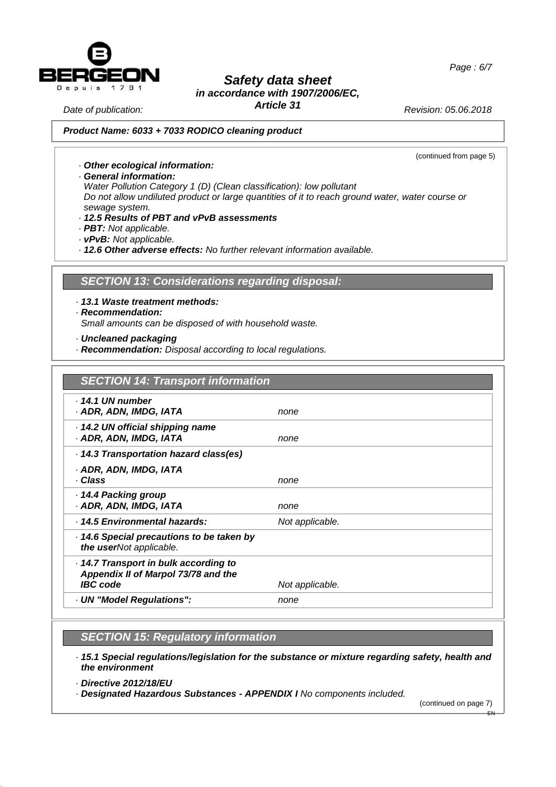



# *Safety data sheet*

## *in accordance with 1907/2006/EC,*

*Article 31*

*Revision: 05.06.2018*

*Date of publication:* 

#### *Version number 1 05.06.2018 Product Name: 6033 + 7033 RODICO cleaning product*

(continued from page 5)

- *· Other ecological information:*
- *· General information:*

*Water Pollution Category 1 (D) (Clean classification): low pollutant Do not allow undiluted product or large quantities of it to reach ground water, water course or sewage system.*

- *· 12.5 Results of PBT and vPvB assessments*
- *· PBT: Not applicable.*
- *· vPvB: Not applicable.*

*· 12.6 Other adverse effects: No further relevant information available.*

## *SECTION 13: Considerations regarding disposal:*

*· 13.1 Waste treatment methods:*

*· Recommendation:*

*Small amounts can be disposed of with household waste.*

- *· Uncleaned packaging*
- *· Recommendation: Disposal according to local regulations.*

| <b>SECTION 14: Transport information</b>                                                      |                 |
|-----------------------------------------------------------------------------------------------|-----------------|
| . 14.1 UN number<br>· ADR, ADN, IMDG, IATA                                                    | none            |
| 14.2 UN official shipping name<br>· ADR, ADN, IMDG, IATA                                      | none            |
| 14.3 Transportation hazard class(es)                                                          |                 |
| · ADR, ADN, IMDG, IATA<br>· Class                                                             | none            |
| 14.4 Packing group<br>· ADR, ADN, IMDG, IATA                                                  | none            |
| · 14.5 Environmental hazards:                                                                 | Not applicable. |
| 14.6 Special precautions to be taken by<br>the userNot applicable.                            |                 |
| 14.7 Transport in bulk according to<br>Appendix II of Marpol 73/78 and the<br><b>IBC</b> code | Not applicable. |
| · UN "Model Regulations":                                                                     | none            |
|                                                                                               |                 |

## *SECTION 15: Regulatory information*

- *· 15.1 Special regulations/legislation for the substance or mixture regarding safety, health and the environment*
- *· Directive 2012/18/EU*
- *· Designated Hazardous Substances - APPENDIX I No components included.*

(continued on page 7)